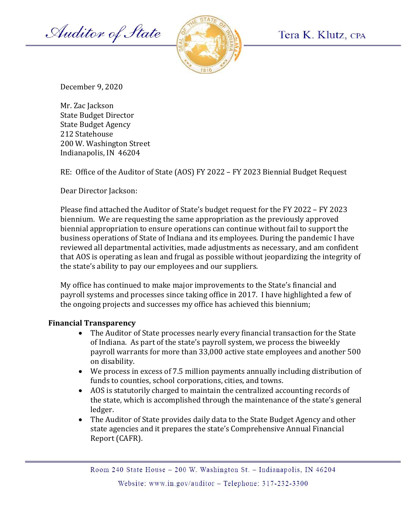Auditor of State



December 9, 2020

Mr. Zac Jackson State Budget Director State Budget Agency 212 Statehouse 200 W. Washington Street Indianapolis, IN 46204

RE: Office of the Auditor of State (AOS) FY 2022 – FY 2023 Biennial Budget Request

Dear Director Jackson:

Please find attached the Auditor of State's budget request for the FY 2022 – FY 2023 biennium. We are requesting the same appropriation as the previously approved biennial appropriation to ensure operations can continue without fail to support the business operations of State of Indiana and its employees. During the pandemic I have reviewed all departmental activities, made adjustments as necessary, and am confident that AOS is operating as lean and frugal as possible without jeopardizing the integrity of the state's ability to pay our employees and our suppliers.

My office has continued to make major improvements to the State's financial and payroll systems and processes since taking office in 2017. I have highlighted a few of the ongoing projects and successes my office has achieved this biennium;

## Financial Transparency

- The Auditor of State processes nearly every financial transaction for the State of Indiana. As part of the state's payroll system, we process the biweekly payroll warrants for more than 33,000 active state employees and another 500 on disability.
- We process in excess of 7.5 million payments annually including distribution of funds to counties, school corporations, cities, and towns.
- AOS is statutorily charged to maintain the centralized accounting records of the state, which is accomplished through the maintenance of the state's general ledger.
- The Auditor of State provides daily data to the State Budget Agency and other state agencies and it prepares the state's Comprehensive Annual Financial Report (CAFR).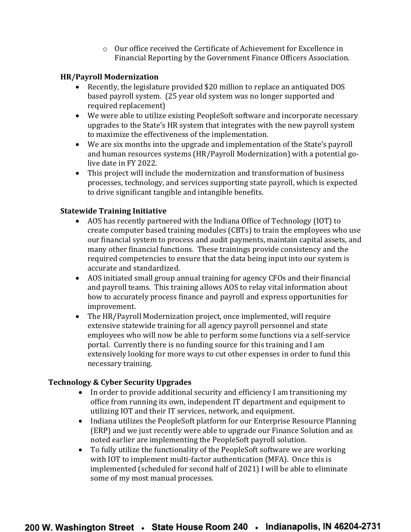o Our office received the Certificate of Achievement for Excellence in Financial Reporting by the Government Finance Officers Association.

## HR/Payroll Modernization

- Recently, the legislature provided \$20 million to replace an antiquated DOS based payroll system. (25 year old system was no longer supported and required replacement)
- We were able to utilize existing PeopleSoft software and incorporate necessary upgrades to the State's HR system that integrates with the new payroll system to maximize the effectiveness of the implementation.
- We are six months into the upgrade and implementation of the State's payroll and human resources systems (HR/Payroll Modernization) with a potential golive date in FY 2022.
- This project will include the modernization and transformation of business processes, technology, and services supporting state payroll, which is expected to drive significant tangible and intangible benefits.

# Statewide Training Initiative

- AOS has recently partnered with the Indiana Office of Technology (IOT) to create computer based training modules (CBTs) to train the employees who use our financial system to process and audit payments, maintain capital assets, and many other financial functions. These trainings provide consistency and the required competencies to ensure that the data being input into our system is accurate and standardized.
- AOS initiated small group annual training for agency CFOs and their financial and payroll teams. This training allows AOS to relay vital information about how to accurately process finance and payroll and express opportunities for improvement.
- The HR/Payroll Modernization project, once implemented, will require extensive statewide training for all agency payroll personnel and state employees who will now be able to perform some functions via a self-service portal. Currently there is no funding source for this training and I am extensively looking for more ways to cut other expenses in order to fund this necessary training.

# Technology & Cyber Security Upgrades

- In order to provide additional security and efficiency I am transitioning my office from running its own, independent IT department and equipment to utilizing IOT and their IT services, network, and equipment.
- Indiana utilizes the PeopleSoft platform for our Enterprise Resource Planning (ERP) and we just recently were able to upgrade our Finance Solution and as noted earlier are implementing the PeopleSoft payroll solution.
- To fully utilize the functionality of the PeopleSoft software we are working with IOT to implement multi-factor authentication (MFA). Once this is implemented (scheduled for second half of 2021) I will be able to eliminate some of my most manual processes.